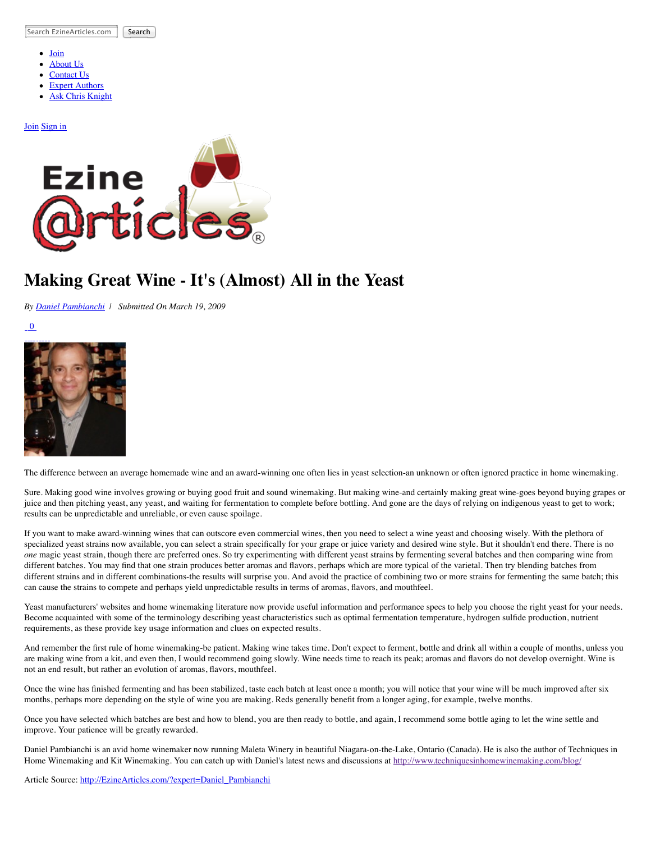Search EzineArticles.com Search

- [Join](http://ezinearticles.com/submit/)
- [About Us](http://ezinearticles.com/about.html)
- [Contact Us](http://ezinearticles.com/contact.html)
- [Expert Authors](http://ezinearticles.com/?type=experts) [Ask Chris Knight](http://askchristopherknight.com/)
- 

## [Join](http://ezinearticles.com/submit/) [Sign in](http://my.ezinearticles.com/)



## **Making Great Wine - It's (Almost) All in the Yeast**

*By [Daniel Pambianchi](http://ezinearticles.com/?expert=Daniel_Pambianchi) | Submitted On March 19, 2009*

 $\overline{0}$ 



The difference between an average homemade wine and an award-winning one often lies in yeast selection-an unknown or often ignored practice in home winemaking.

Sure. Making good wine involves growing or buying good fruit and sound winemaking. But making wine-and certainly making great wine-goes beyond buying grapes or juice and then pitching yeast, any yeast, and waiting for fermentation to complete before bottling. And gone are the days of relying on indigenous yeast to get to work; results can be unpredictable and unreliable, or even cause spoilage.

If you want to make award-winning wines that can outscore even commercial wines, then you need to select a wine yeast and choosing wisely. With the plethora of specialized yeast strains now available, you can select a strain specifically for your grape or juice variety and desired wine style. But it shouldn't end there. There is no *one* magic yeast strain, though there are preferred ones. So try experimenting with different yeast strains by fermenting several batches and then comparing wine from different batches. You may find that one strain produces better aromas and flavors, perhaps which are more typical of the varietal. Then try blending batches from different strains and in different combinations-the results will surprise you. And avoid the practice of combining two or more strains for fermenting the same batch; this can cause the strains to compete and perhaps yield unpredictable results in terms of aromas, flavors, and mouthfeel.

Yeast manufacturers' websites and home winemaking literature now provide useful information and performance specs to help you choose the right yeast for your needs. Become acquainted with some of the terminology describing yeast characteristics such as optimal fermentation temperature, hydrogen sulfide production, nutrient requirements, as these provide key usage information and clues on expected results.

And remember the first rule of home winemaking-be patient. Making wine takes time. Don't expect to ferment, bottle and drink all within a couple of months, unless you are making wine from a kit, and even then, I would recommend going slowly. Wine needs time to reach its peak; aromas and flavors do not develop overnight. Wine is not an end result, but rather an evolution of aromas, flavors, mouthfeel.

Once the wine has finished fermenting and has been stabilized, taste each batch at least once a month; you will notice that your wine will be much improved after six months, perhaps more depending on the style of wine you are making. Reds generally benefit from a longer aging, for example, twelve months.

Once you have selected which batches are best and how to blend, you are then ready to bottle, and again, I recommend some bottle aging to let the wine settle and improve. Your patience will be greatly rewarded.

Daniel Pambianchi is an avid home winemaker now running Maleta Winery in beautiful Niagara-on-the-Lake, Ontario (Canada). He is also the author of Techniques in Home Winemaking and Kit Winemaking. You can catch up with Daniel's latest news and discussions at<http://www.techniquesinhomewinemaking.com/blog/>

Article Source: [http://EzineArticles.com/?expert=Daniel\\_Pambianchi](http://ezinearticles.com/?expert=Daniel_Pambianchi)